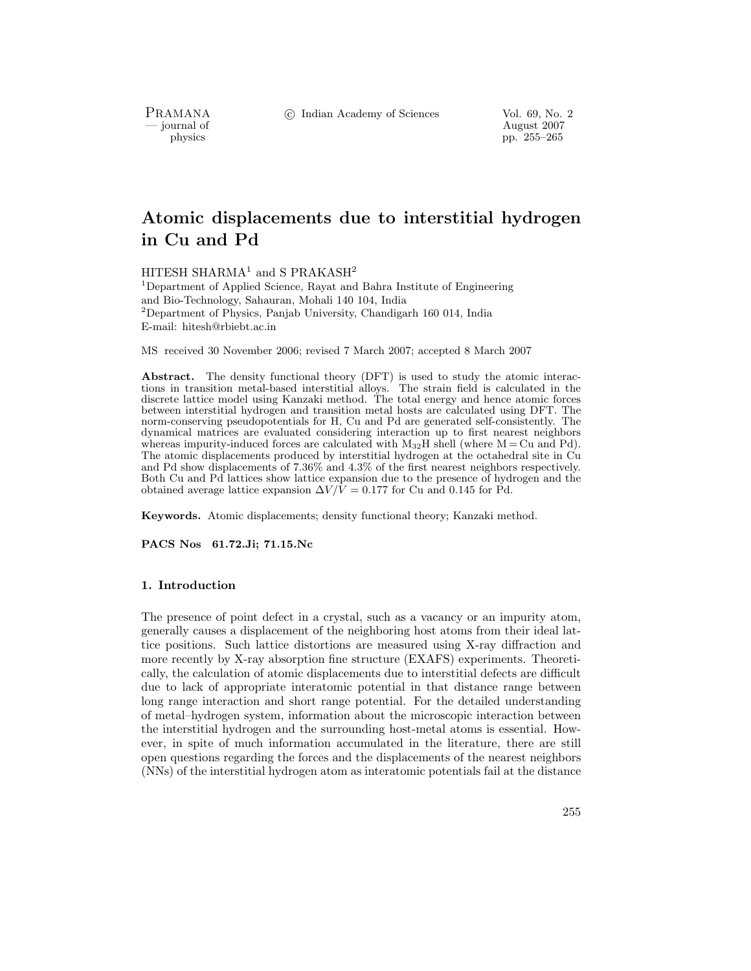c Indian Academy of Sciences Vol. 69, No. 2

PRAMANA<br>
— journal of

August 2007 physics pp. 255–265

# **Atomic displacements due to interstitial hydrogen in Cu and Pd**

HITESH SHARMA<sup>1</sup> and S PRAKASH<sup>2</sup>

<sup>1</sup>Department of Applied Science, Rayat and Bahra Institute of Engineering and Bio-Technology, Sahauran, Mohali 140 104, India <sup>2</sup>Department of Physics, Panjab University, Chandigarh 160 014, India E-mail: hitesh@rbiebt.ac.in

MS received 30 November 2006; revised 7 March 2007; accepted 8 March 2007

**Abstract.** The density functional theory (DFT) is used to study the atomic interactions in transition metal-based interstitial alloys. The strain field is calculated in the discrete lattice model using Kanzaki method. The total energy and hence atomic forces between interstitial hydrogen and transition metal hosts are calculated using DFT. The norm-conserving pseudopotentials for H, Cu and Pd are generated self-consistently. The dynamical matrices are evaluated considering interaction up to first nearest neighbors whereas impurity-induced forces are calculated with  $M_{32}H$  shell (where  $M = Cu$  and Pd). The atomic displacements produced by interstitial hydrogen at the octahedral site in Cu and Pd show displacements of 7.36% and 4.3% of the first nearest neighbors respectively. Both Cu and Pd lattices show lattice expansion due to the presence of hydrogen and the obtained average lattice expansion  $\Delta V/\bar{V} = 0.177$  for Cu and 0.145 for Pd.

**Keywords.** Atomic displacements; density functional theory; Kanzaki method.

**PACS Nos 61.72.Ji; 71.15.Nc**

# **1. Introduction**

The presence of point defect in a crystal, such as a vacancy or an impurity atom, generally causes a displacement of the neighboring host atoms from their ideal lattice positions. Such lattice distortions are measured using X-ray diffraction and more recently by X-ray absorption fine structure (EXAFS) experiments. Theoretically, the calculation of atomic displacements due to interstitial defects are difficult due to lack of appropriate interatomic potential in that distance range between long range interaction and short range potential. For the detailed understanding of metal–hydrogen system, information about the microscopic interaction between the interstitial hydrogen and the surrounding host-metal atoms is essential. However, in spite of much information accumulated in the literature, there are still open questions regarding the forces and the displacements of the nearest neighbors (NNs) of the interstitial hydrogen atom as interatomic potentials fail at the distance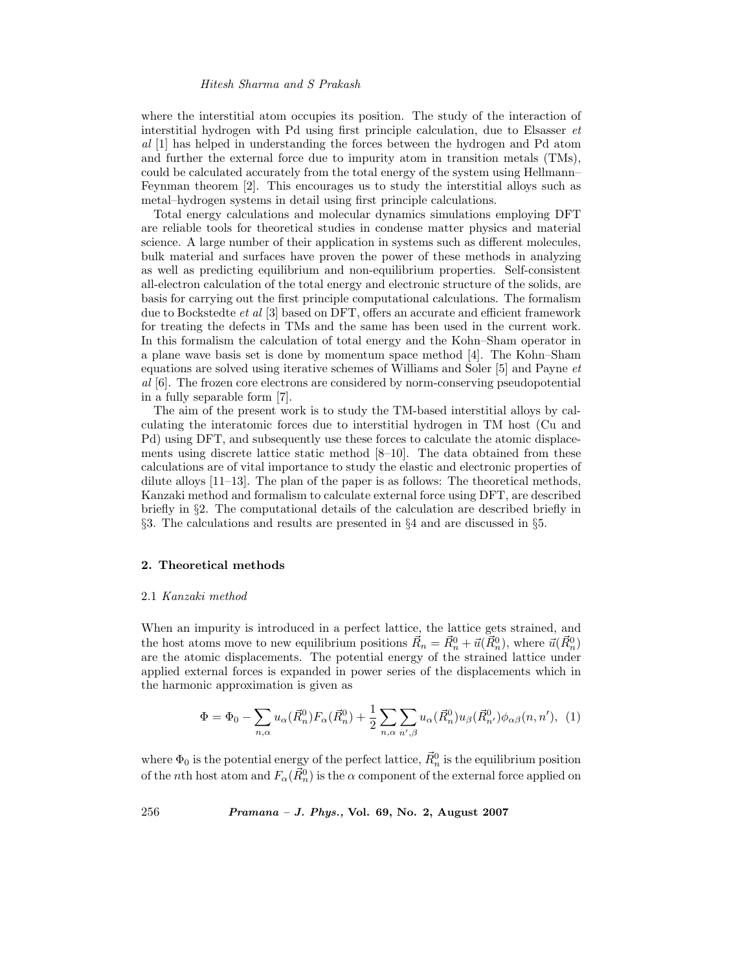where the interstitial atom occupies its position. The study of the interaction of interstitial hydrogen with Pd using first principle calculation, due to Elsasser *et al* [1] has helped in understanding the forces between the hydrogen and Pd atom and further the external force due to impurity atom in transition metals (TMs), could be calculated accurately from the total energy of the system using Hellmann– Feynman theorem [2]. This encourages us to study the interstitial alloys such as metal–hydrogen systems in detail using first principle calculations.

Total energy calculations and molecular dynamics simulations employing DFT are reliable tools for theoretical studies in condense matter physics and material science. A large number of their application in systems such as different molecules, bulk material and surfaces have proven the power of these methods in analyzing as well as predicting equilibrium and non-equilibrium properties. Self-consistent all-electron calculation of the total energy and electronic structure of the solids, are basis for carrying out the first principle computational calculations. The formalism due to Bockstedte *et al* [3] based on DFT, offers an accurate and efficient framework for treating the defects in TMs and the same has been used in the current work. In this formalism the calculation of total energy and the Kohn–Sham operator in a plane wave basis set is done by momentum space method [4]. The Kohn–Sham equations are solved using iterative schemes of Williams and Soler [5] and Payne *et al* [6]. The frozen core electrons are considered by norm-conserving pseudopotential in a fully separable form [7].

The aim of the present work is to study the TM-based interstitial alloys by calculating the interatomic forces due to interstitial hydrogen in TM host (Cu and Pd) using DFT, and subsequently use these forces to calculate the atomic displacements using discrete lattice static method  $[8-10]$ . The data obtained from these calculations are of vital importance to study the elastic and electronic properties of dilute alloys [11–13]. The plan of the paper is as follows: The theoretical methods, Kanzaki method and formalism to calculate external force using DFT, are described briefly in §2. The computational details of the calculation are described briefly in §3. The calculations and results are presented in §4 and are discussed in §5.

# **2. Theoretical methods**

#### 2.1 *Kanzaki method*

When an impurity is introduced in a perfect lattice, the lattice gets strained, and the host atoms move to new equilibrium positions  $\vec{R}_n = \vec{R}_n^0 + \vec{u}(\vec{R}_n^0)$ , where  $\vec{u}(\vec{R}_n^0)$ are the atomic displacements. The potential energy of the strained lattice under applied external forces is expanded in power series of the displacements which in the harmonic approximation is given as

$$
\Phi = \Phi_0 - \sum_{n,\alpha} u_{\alpha}(\vec{R}_n^0) F_{\alpha}(\vec{R}_n^0) + \frac{1}{2} \sum_{n,\alpha} \sum_{n',\beta} u_{\alpha}(\vec{R}_n^0) u_{\beta}(\vec{R}_{n'}^0) \phi_{\alpha\beta}(n, n'), (1)
$$

where  $\Phi_0$  is the potential energy of the perfect lattice,  $\vec{R}_n^0$  is the equilibrium position of the *n*th host atom and  $F_\alpha(\vec{R}_n^0)$  is the  $\alpha$  component of the external force applied on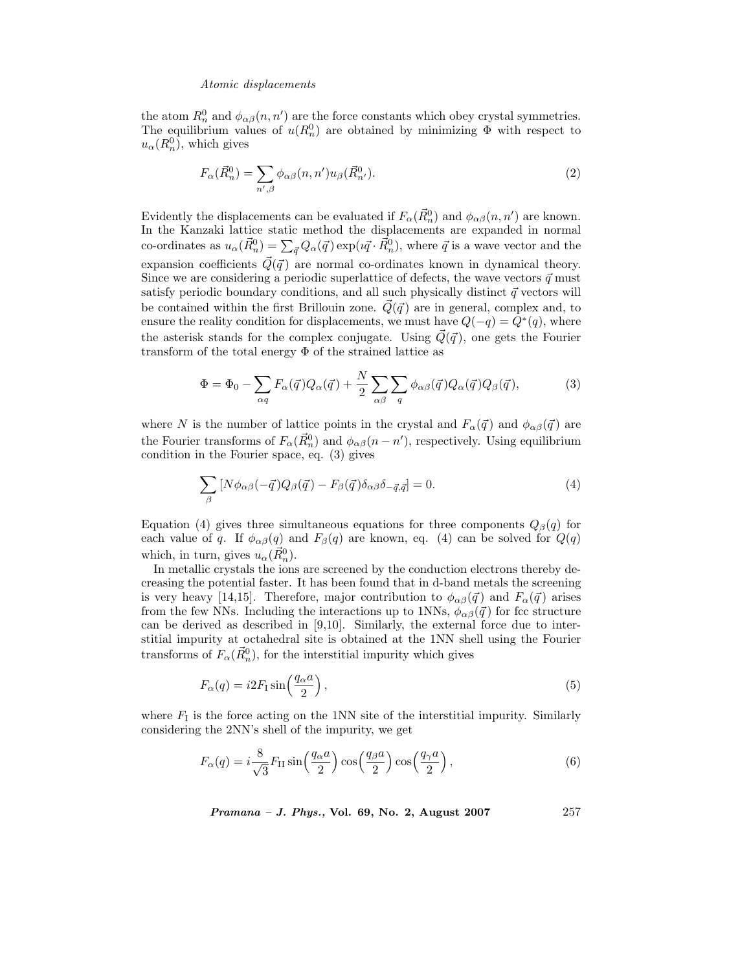the atom  $R_n^0$  and  $\phi_{\alpha\beta}(n, n')$  are the force constants which obey crystal symmetries. The equilibrium values of  $u(R_n^0)$  are obtained by minimizing  $\Phi$  with respect to  $u_{\alpha}(R_n^0)$ , which gives

$$
F_{\alpha}(\vec{R}_n^0) = \sum_{n',\beta} \phi_{\alpha\beta}(n,n') u_{\beta}(\vec{R}_{n'}^0).
$$
\n(2)

Evidently the displacements can be evaluated if  $F_\alpha(\vec{R}_n^0)$  and  $\phi_{\alpha\beta}(n, n')$  are known. In the Kanzaki lattice static method the displacements are expanded in normal co-ordinates as  $u_\alpha(\vec{R}_n^0) = \sum_{\vec{q}} Q_\alpha(\vec{q}) \exp(i\vec{q} \cdot \vec{R}_n^0)$ , where  $\vec{q}$  is a wave vector and the expansion coefficients  $\vec{Q}(\vec{q})$  are normal co-ordinates known in dynamical theory. Since we are considering a periodic superlattice of defects, the wave vectors  $\vec{q}$  must satisfy periodic boundary conditions, and all such physically distinct  $\vec{q}$  vectors will be contained within the first Brillouin zone.  $\vec{Q}(\vec{q})$  are in general, complex and, to ensure the reality condition for displacements, we must have  $Q(-q) = Q^*(q)$ , where the asterisk stands for the complex conjugate. Using  $\vec{Q}(\vec{q})$ , one gets the Fourier transform of the total energy  $\Phi$  of the strained lattice as

$$
\Phi = \Phi_0 - \sum_{\alpha q} F_{\alpha}(\vec{q}) Q_{\alpha}(\vec{q}) + \frac{N}{2} \sum_{\alpha \beta} \sum_{q} \phi_{\alpha \beta}(\vec{q}) Q_{\alpha}(\vec{q}) Q_{\beta}(\vec{q}), \tag{3}
$$

where N is the number of lattice points in the crystal and  $F_{\alpha}(\vec{q})$  and  $\phi_{\alpha\beta}(\vec{q})$  are the Fourier transforms of  $F_{\alpha}(\vec{R}_n^0)$  and  $\phi_{\alpha\beta}(n - n')$ , respectively. Using equilibrium condition in the Fourier space, eq. (3) gives

$$
\sum_{\beta} \left[ N \phi_{\alpha\beta} (-\vec{q}) Q_{\beta} (\vec{q}) - F_{\beta} (\vec{q}) \delta_{\alpha\beta} \delta_{-\vec{q},\vec{q}} \right] = 0. \tag{4}
$$

Equation (4) gives three simultaneous equations for three components  $Q_{\beta}(q)$  for each value of q. If  $\phi_{\alpha\beta}(q)$  and  $F_{\beta}(q)$  are known, eq. (4) can be solved for  $Q(q)$ which, in turn, gives  $u_{\alpha}(\vec{R}_n^0)$ .

In metallic crystals the ions are screened by the conduction electrons thereby decreasing the potential faster. It has been found that in d-band metals the screening is very heavy [14,15]. Therefore, major contribution to  $\phi_{\alpha\beta}(\vec{q})$  and  $F_{\alpha}(\vec{q})$  arises from the few NNs. Including the interactions up to 1NNs,  $\phi_{\alpha\beta}(\vec{q})$  for fcc structure can be derived as described in [9,10]. Similarly, the external force due to interstitial impurity at octahedral site is obtained at the 1NN shell using the Fourier transforms of  $F_{\alpha}(\vec{R}_n^0)$ , for the interstitial impurity which gives

$$
F_{\alpha}(q) = i2F_{\rm I}\sin\left(\frac{q_{\alpha}a}{2}\right),\tag{5}
$$

where  $F<sub>I</sub>$  is the force acting on the 1NN site of the interstitial impurity. Similarly considering the 2NN's shell of the impurity, we get

$$
F_{\alpha}(q) = i \frac{8}{\sqrt{3}} F_{\text{II}} \sin\left(\frac{q_{\alpha} a}{2}\right) \cos\left(\frac{q_{\beta} a}{2}\right) \cos\left(\frac{q_{\gamma} a}{2}\right),\tag{6}
$$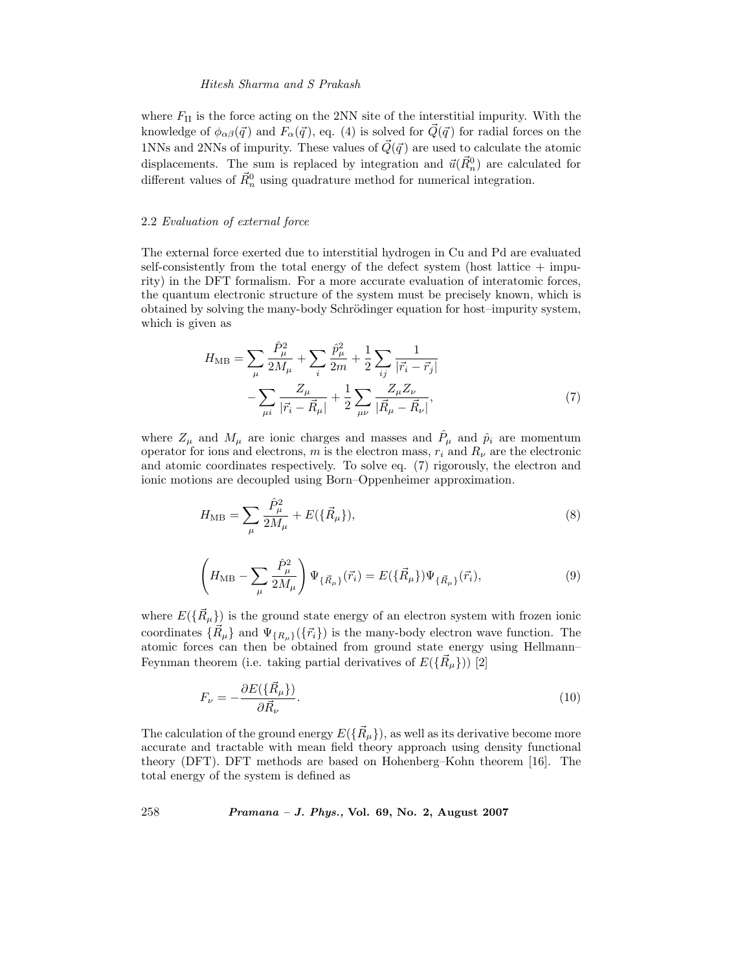where  $F_{II}$  is the force acting on the 2NN site of the interstitial impurity. With the knowledge of  $\phi_{\alpha\beta}(\vec{q})$  and  $F_{\alpha}(\vec{q}),$  eq. (4) is solved for  $\vec{Q}(\vec{q})$  for radial forces on the 1NNs and 2NNs of impurity. These values of  $\vec{Q}(\vec{q})$  are used to calculate the atomic displacements. The sum is replaced by integration and  $\vec{u}(\vec{R}_n^0)$  are calculated for different values of  $\vec{R}_{n}^{0}$  using quadrature method for numerical integration.

# 2.2 *Evaluation of external force*

The external force exerted due to interstitial hydrogen in Cu and Pd are evaluated self-consistently from the total energy of the defect system (host lattice + impurity) in the DFT formalism. For a more accurate evaluation of interatomic forces, the quantum electronic structure of the system must be precisely known, which is obtained by solving the many-body Schrödinger equation for host–impurity system, which is given as

$$
H_{\rm MB} = \sum_{\mu} \frac{\hat{P}_{\mu}^2}{2M_{\mu}} + \sum_{i} \frac{\hat{p}_{\mu}^2}{2m} + \frac{1}{2} \sum_{ij} \frac{1}{|\vec{r}_{i} - \vec{r}_{j}|} - \sum_{\mu i} \frac{Z_{\mu}}{|\vec{r}_{i} - \vec{R}_{\mu}|} + \frac{1}{2} \sum_{\mu \nu} \frac{Z_{\mu} Z_{\nu}}{|\vec{R}_{\mu} - \vec{R}_{\nu}|},
$$
\n(7)

where  $Z_{\mu}$  and  $M_{\mu}$  are ionic charges and masses and  $\hat{P}_{\mu}$  and  $\hat{p}_{i}$  are momentum operator for ions and electrons, m is the electron mass,  $r_i$  and  $R_{\nu}$  are the electronic and atomic coordinates respectively. To solve eq. (7) rigorously, the electron and ionic motions are decoupled using Born–Oppenheimer approximation.

$$
H_{\rm MB} = \sum_{\mu} \frac{\hat{P}_{\mu}^2}{2M_{\mu}} + E(\{\vec{R}_{\mu}\}),\tag{8}
$$

$$
\left(H_{\rm MB} - \sum_{\mu} \frac{\hat{P}_{\mu}^2}{2M_{\mu}}\right) \Psi_{\{\vec{R}_{\mu}\}}(\vec{r}_i) = E(\{\vec{R}_{\mu}\}) \Psi_{\{\vec{R}_{\mu}\}}(\vec{r}_i),\tag{9}
$$

where  $E(\{\vec{R}_{\mu}\})$  is the ground state energy of an electron system with frozen ionic coordinates  $\{\vec{R}_{\mu}\}\$  and  $\Psi_{\{R_{\mu}\}}(\{\vec{r}_i\})$  is the many-body electron wave function. The atomic forces can then be obtained from ground state energy using Hellmann– Feynman theorem (i.e. taking partial derivatives of  $E(\{\vec{R}_{\mu}\})$ ) [2]

$$
F_{\nu} = -\frac{\partial E(\{\vec{R}_{\mu}\})}{\partial \vec{R}_{\nu}}.\tag{10}
$$

The calculation of the ground energy  $E(\{\vec{R}_{\mu}\})$ , as well as its derivative become more accurate and tractable with mean field theory approach using density functional theory (DFT). DFT methods are based on Hohenberg–Kohn theorem [16]. The total energy of the system is defined as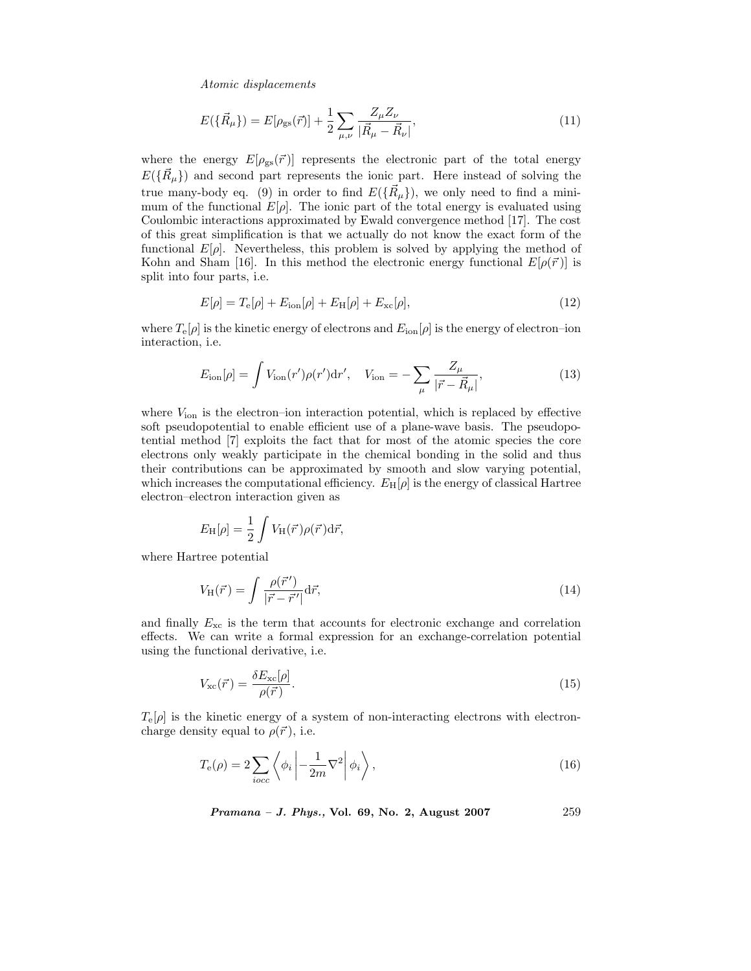$$
E(\{\vec{R}_{\mu}\}) = E[\rho_{\rm gs}(\vec{r})] + \frac{1}{2} \sum_{\mu,\nu} \frac{Z_{\mu} Z_{\nu}}{|\vec{R}_{\mu} - \vec{R}_{\nu}|},\tag{11}
$$

where the energy  $E[\rho_{gs}(\vec{r})]$  represents the electronic part of the total energy  $E(\{\vec{R}_{\mu}\})$  and second part represents the ionic part. Here instead of solving the true many-body eq. (9) in order to find  $E(\{\vec{R}_{\mu}\})$ , we only need to find a minimum of the functional  $E[\rho]$ . The ionic part of the total energy is evaluated using Coulombic interactions approximated by Ewald convergence method [17]. The cost of this great simplification is that we actually do not know the exact form of the functional  $E[\rho]$ . Nevertheless, this problem is solved by applying the method of Kohn and Sham [16]. In this method the electronic energy functional  $E[\rho(\vec{r})]$  is split into four parts, i.e.

$$
E[\rho] = T_{\rm e}[\rho] + E_{\rm ion}[\rho] + E_{\rm H}[\rho] + E_{\rm xc}[\rho],\tag{12}
$$

where  $T_{\rm e}[\rho]$  is the kinetic energy of electrons and  $E_{\rm ion}[\rho]$  is the energy of electron–ion interaction, i.e.

$$
E_{\rm ion}[\rho] = \int V_{\rm ion}(r')\rho(r')dr', \quad V_{\rm ion} = -\sum_{\mu} \frac{Z_{\mu}}{|\vec{r} - \vec{R}_{\mu}|},\tag{13}
$$

where  $V_{\text{ion}}$  is the electron–ion interaction potential, which is replaced by effective soft pseudopotential to enable efficient use of a plane-wave basis. The pseudopotential method [7] exploits the fact that for most of the atomic species the core electrons only weakly participate in the chemical bonding in the solid and thus their contributions can be approximated by smooth and slow varying potential, which increases the computational efficiency.  $E_H[\rho]$  is the energy of classical Hartree electron–electron interaction given as

$$
E_{\rm H}[\rho] = \frac{1}{2} \int V_{\rm H}(\vec{r}) \rho(\vec{r}) d\vec{r},
$$

where Hartree potential

$$
V_{\rm H}(\vec{r}) = \int \frac{\rho(\vec{r}')}{|\vec{r} - \vec{r}'|} d\vec{r},\tag{14}
$$

and finally  $E_{\rm xc}$  is the term that accounts for electronic exchange and correlation effects. We can write a formal expression for an exchange-correlation potential using the functional derivative, i.e.

$$
V_{\rm xc}(\vec{r}) = \frac{\delta E_{\rm xc}[\rho]}{\rho(\vec{r})}.
$$
\n(15)

 $T_{e}[\rho]$  is the kinetic energy of a system of non-interacting electrons with electroncharge density equal to  $\rho(\vec{r})$ , i.e.

$$
T_{\rm e}(\rho) = 2 \sum_{iocc} \left\langle \phi_i \left| -\frac{1}{2m} \nabla^2 \right| \phi_i \right\rangle,\tag{16}
$$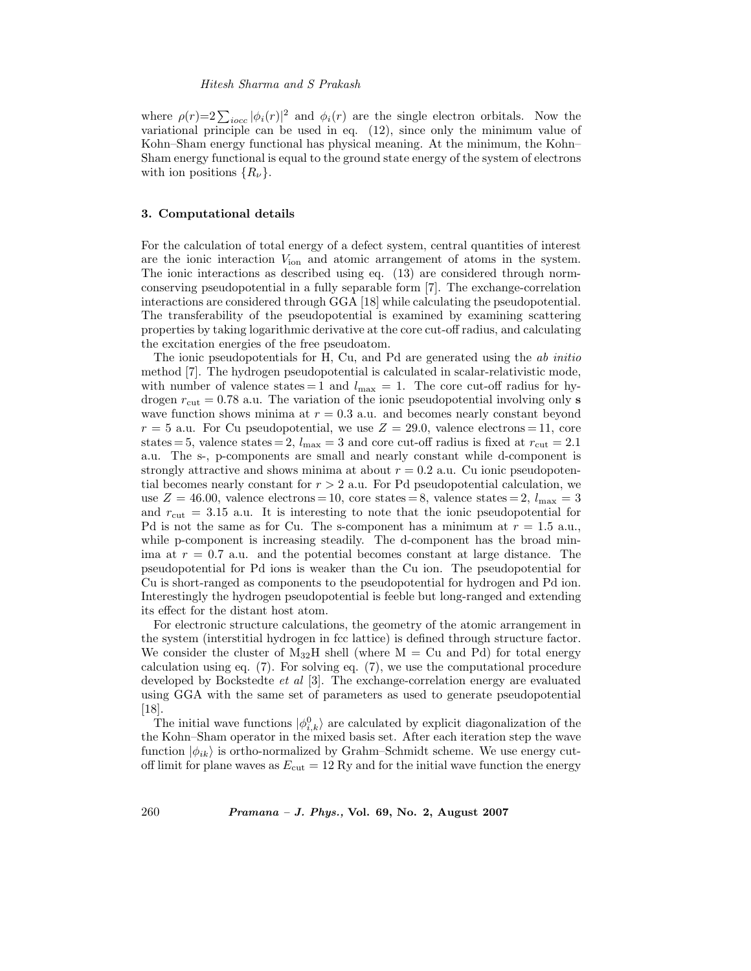where  $\rho(r)=2\sum_{i\text{occ}}|\phi_i(r)|^2$  and  $\phi_i(r)$  are the single electron orbitals. Now the variational principle can be used in eq. (12), since only the minimum value of Kohn–Sham energy functional has physical meaning. At the minimum, the Kohn– Sham energy functional is equal to the ground state energy of the system of electrons with ion positions  $\{R_{\nu}\}.$ 

# **3. Computational details**

For the calculation of total energy of a defect system, central quantities of interest are the ionic interaction <sup>V</sup>ion and atomic arrangement of atoms in the system. The ionic interactions as described using eq. (13) are considered through normconserving pseudopotential in a fully separable form [7]. The exchange-correlation interactions are considered through GGA [18] while calculating the pseudopotential. The transferability of the pseudopotential is examined by examining scattering properties by taking logarithmic derivative at the core cut-off radius, and calculating the excitation energies of the free pseudoatom.

The ionic pseudopotentials for H, Cu, and Pd are generated using the *ab initio* method [7]. The hydrogen pseudopotential is calculated in scalar-relativistic mode, with number of valence states = 1 and  $l_{\text{max}} = 1$ . The core cut-off radius for hydrogen  $r_{\text{cut}} = 0.78$  a.u. The variation of the ionic pseudopotential involving only **s** wave function shows minima at  $r = 0.3$  a.u. and becomes nearly constant beyond  $r = 5$  a.u. For Cu pseudopotential, we use  $Z = 29.0$ , valence electrons  $= 11$ , core states = 5, valence states = 2,  $l_{\text{max}} = 3$  and core cut-off radius is fixed at  $r_{\text{cut}} = 2.1$ a.u. The s-, p-components are small and nearly constant while d-component is strongly attractive and shows minima at about  $r = 0.2$  a.u. Cu ionic pseudopotential becomes nearly constant for  $r > 2$  a.u. For Pd pseudopotential calculation, we use  $Z = 46.00$ , valence electrons = 10, core states = 8, valence states = 2,  $l_{\text{max}} = 3$ and  $r_{\text{cut}} = 3.15$  a.u. It is interesting to note that the ionic pseudopotential for Pd is not the same as for Cu. The s-component has a minimum at  $r = 1.5$  a.u., while p-component is increasing steadily. The d-component has the broad minima at  $r = 0.7$  a.u. and the potential becomes constant at large distance. The pseudopotential for Pd ions is weaker than the Cu ion. The pseudopotential for Cu is short-ranged as components to the pseudopotential for hydrogen and Pd ion. Interestingly the hydrogen pseudopotential is feeble but long-ranged and extending its effect for the distant host atom.

For electronic structure calculations, the geometry of the atomic arrangement in the system (interstitial hydrogen in fcc lattice) is defined through structure factor. We consider the cluster of  $M_{32}H$  shell (where  $M = Cu$  and Pd) for total energy calculation using eq. (7). For solving eq. (7), we use the computational procedure developed by Bockstedte *et al* [3]. The exchange-correlation energy are evaluated using GGA with the same set of parameters as used to generate pseudopotential [18].

The initial wave functions  $|\phi_{i,k}^0\rangle$  are calculated by explicit diagonalization of the the Kohn–Sham operator in the mixed basis set. After each iteration step the wave function  $|\phi_{ik}\rangle$  is ortho-normalized by Grahm–Schmidt scheme. We use energy cutoff limit for plane waves as  $E_{\text{cut}} = 12 \text{ Ry}$  and for the initial wave function the energy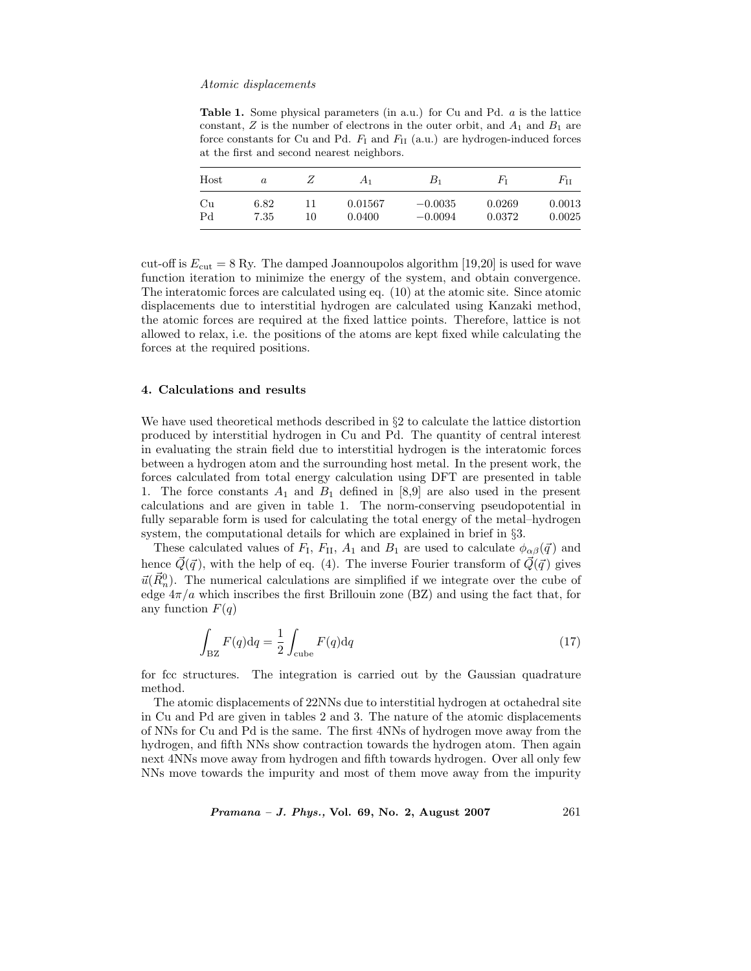**Table 1.** Some physical parameters (in a.u.) for Cu and Pd. *a* is the lattice constant,  $Z$  is the number of electrons in the outer orbit, and  $A_1$  and  $B_1$  are force constants for Cu and Pd. *F*<sup>I</sup> and *F*II (a.u.) are hydrogen-induced forces at the first and second nearest neighbors.

| Host | $\boldsymbol{a}$ | ∠  | $A_1$   | $B_1$     | Fт     | $F_{\rm II}$ |
|------|------------------|----|---------|-----------|--------|--------------|
| Cu   | 6.82             | 11 | 0.01567 | $-0.0035$ | 0.0269 | 0.0013       |
| Pd   | 7.35             | 10 | 0.0400  | $-0.0094$ | 0.0372 | 0.0025       |

cut-off is  $E_{\text{cut}} = 8$  Ry. The damped Joannoupolos algorithm [19,20] is used for wave function iteration to minimize the energy of the system, and obtain convergence. The interatomic forces are calculated using eq. (10) at the atomic site. Since atomic displacements due to interstitial hydrogen are calculated using Kanzaki method, the atomic forces are required at the fixed lattice points. Therefore, lattice is not allowed to relax, i.e. the positions of the atoms are kept fixed while calculating the forces at the required positions.

# **4. Calculations and results**

We have used theoretical methods described in §2 to calculate the lattice distortion produced by interstitial hydrogen in Cu and Pd. The quantity of central interest in evaluating the strain field due to interstitial hydrogen is the interatomic forces between a hydrogen atom and the surrounding host metal. In the present work, the forces calculated from total energy calculation using DFT are presented in table 1. The force constants  $A_1$  and  $B_1$  defined in [8,9] are also used in the present calculations and are given in table 1. The norm-conserving pseudopotential in fully separable form is used for calculating the total energy of the metal–hydrogen system, the computational details for which are explained in brief in §3.

These calculated values of  $F_I$ ,  $F_{II}$ ,  $A_1$  and  $B_1$  are used to calculate  $\phi_{\alpha\beta}(\vec{q})$  and hence  $\vec{Q}(\vec{q})$ , with the help of eq. (4). The inverse Fourier transform of  $\vec{Q}(\vec{q})$  gives  $\vec{u}(\vec{R}_n^0)$ . The numerical calculations are simplified if we integrate over the cube of edge  $4\pi/a$  which inscribes the first Brillouin zone (BZ) and using the fact that, for any function  $F(q)$ 

$$
\int_{\text{BZ}} F(q) \text{d}q = \frac{1}{2} \int_{\text{cube}} F(q) \text{d}q \tag{17}
$$

for fcc structures. The integration is carried out by the Gaussian quadrature method.

The atomic displacements of 22NNs due to interstitial hydrogen at octahedral site in Cu and Pd are given in tables 2 and 3. The nature of the atomic displacements of NNs for Cu and Pd is the same. The first 4NNs of hydrogen move away from the hydrogen, and fifth NNs show contraction towards the hydrogen atom. Then again next 4NNs move away from hydrogen and fifth towards hydrogen. Over all only few NNs move towards the impurity and most of them move away from the impurity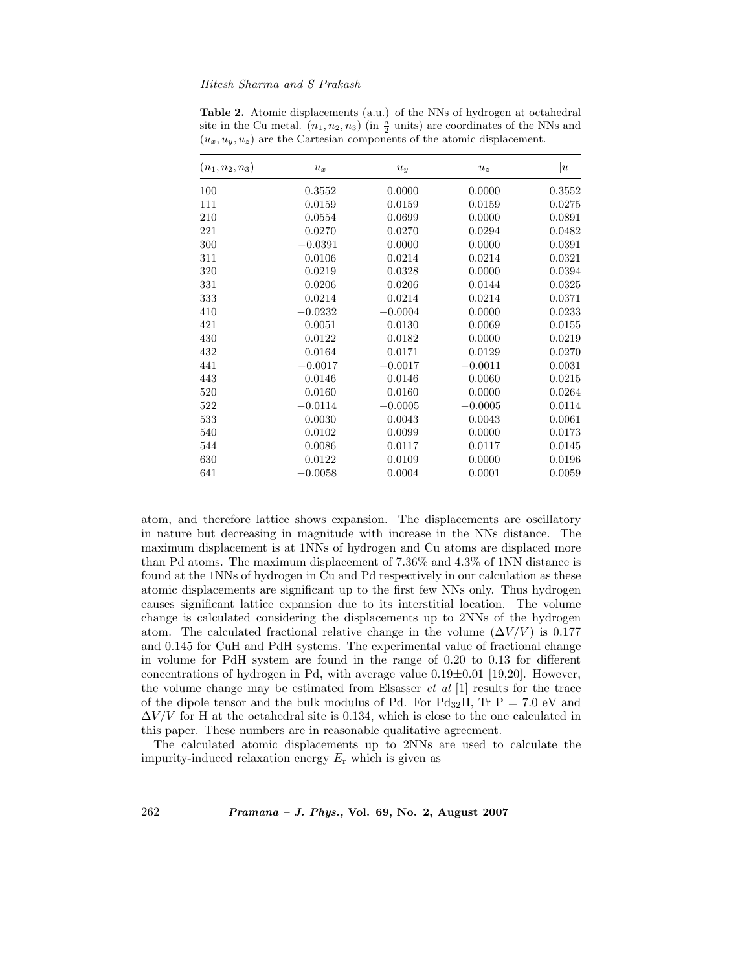| $(n_1, n_2, n_3)$ | $u_x$     | $u_y$     | $u_z$     | u      |
|-------------------|-----------|-----------|-----------|--------|
| 100               | 0.3552    | 0.0000    | 0.0000    | 0.3552 |
| 111               | 0.0159    | 0.0159    | 0.0159    | 0.0275 |
| 210               | 0.0554    | 0.0699    | 0.0000    | 0.0891 |
| 221               | 0.0270    | 0.0270    | 0.0294    | 0.0482 |
| 300               | $-0.0391$ | 0.0000    | 0.0000    | 0.0391 |
| 311               | 0.0106    | 0.0214    | 0.0214    | 0.0321 |
| 320               | 0.0219    | 0.0328    | 0.0000    | 0.0394 |
| 331               | 0.0206    | 0.0206    | 0.0144    | 0.0325 |
| 333               | 0.0214    | 0.0214    | 0.0214    | 0.0371 |
| 410               | $-0.0232$ | $-0.0004$ | 0.0000    | 0.0233 |
| 421               | 0.0051    | 0.0130    | 0.0069    | 0.0155 |
| 430               | 0.0122    | 0.0182    | 0.0000    | 0.0219 |
| 432               | 0.0164    | 0.0171    | 0.0129    | 0.0270 |
| 441               | $-0.0017$ | $-0.0017$ | $-0.0011$ | 0.0031 |
| 443               | 0.0146    | 0.0146    | 0.0060    | 0.0215 |
| 520               | 0.0160    | 0.0160    | 0.0000    | 0.0264 |
| 522               | $-0.0114$ | $-0.0005$ | $-0.0005$ | 0.0114 |
| 533               | 0.0030    | 0.0043    | 0.0043    | 0.0061 |
| 540               | 0.0102    | 0.0099    | 0.0000    | 0.0173 |
| 544               | 0.0086    | 0.0117    | 0.0117    | 0.0145 |
| 630               | 0.0122    | 0.0109    | 0.0000    | 0.0196 |
| 641               | $-0.0058$ | 0.0004    | 0.0001    | 0.0059 |

**Table 2.** Atomic displacements (a.u.) of the NNs of hydrogen at octahedral site in the Cu metal.  $(n_1, n_2, n_3)$  (in  $\frac{a}{2}$  units) are coordinates of the NNs and  $(u_x, u_y, u_z)$  are the Cartesian components of the atomic displacement.

atom, and therefore lattice shows expansion. The displacements are oscillatory in nature but decreasing in magnitude with increase in the NNs distance. The maximum displacement is at 1NNs of hydrogen and Cu atoms are displaced more than Pd atoms. The maximum displacement of 7.36% and 4.3% of 1NN distance is found at the 1NNs of hydrogen in Cu and Pd respectively in our calculation as these atomic displacements are significant up to the first few NNs only. Thus hydrogen causes significant lattice expansion due to its interstitial location. The volume change is calculated considering the displacements up to 2NNs of the hydrogen atom. The calculated fractional relative change in the volume  $(\Delta V/V)$  is 0.177 and 0.145 for CuH and PdH systems. The experimental value of fractional change in volume for PdH system are found in the range of 0.20 to 0.13 for different concentrations of hydrogen in Pd, with average value  $0.19\pm0.01$  [19,20]. However, the volume change may be estimated from Elsasser *et al* [1] results for the trace of the dipole tensor and the bulk modulus of Pd. For  $Pd_{32}H$ , Tr  $P = 7.0$  eV and  $\Delta V/V$  for H at the octahedral site is 0.134, which is close to the one calculated in this paper. These numbers are in reasonable qualitative agreement.

The calculated atomic displacements up to 2NNs are used to calculate the impurity-induced relaxation energy  $E_r$  which is given as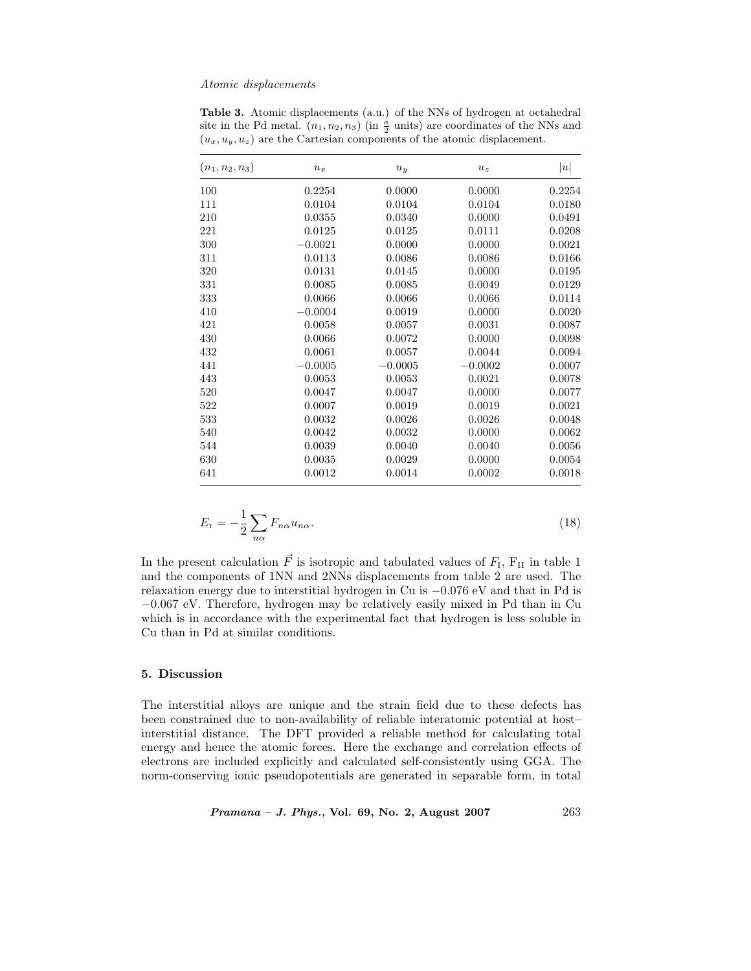|  | <b>Table 3.</b> Atomic displacements (a.u.) of the NNs of hydrogen at octahedral                |
|--|-------------------------------------------------------------------------------------------------|
|  | site in the Pd metal. $(n_1, n_2, n_3)$ (in $\frac{a}{2}$ units) are coordinates of the NNs and |
|  | $(u_x, u_y, u_z)$ are the Cartesian components of the atomic displacement.                      |

| $(n_1, n_2, n_3)$ | $u_x$     | $u_y$     | $u_z$     | u      |
|-------------------|-----------|-----------|-----------|--------|
| 100               | 0.2254    | 0.0000    | 0.0000    | 0.2254 |
| 111               | 0.0104    | 0.0104    | 0.0104    | 0.0180 |
| 210               | 0.0355    | 0.0340    | 0.0000    | 0.0491 |
| 221               | 0.0125    | 0.0125    | 0.0111    | 0.0208 |
| 300               | $-0.0021$ | 0.0000    | 0.0000    | 0.0021 |
| 311               | 0.0113    | 0.0086    | 0.0086    | 0.0166 |
| 320               | 0.0131    | 0.0145    | 0.0000    | 0.0195 |
| 331               | 0.0085    | 0.0085    | 0.0049    | 0.0129 |
| 333               | 0.0066    | 0.0066    | 0.0066    | 0.0114 |
| 410               | $-0.0004$ | 0.0019    | 0.0000    | 0.0020 |
| 421               | 0.0058    | 0.0057    | 0.0031    | 0.0087 |
| 430               | 0.0066    | 0.0072    | 0.0000    | 0.0098 |
| 432               | 0.0061    | 0.0057    | 0.0044    | 0.0094 |
| 441               | $-0.0005$ | $-0.0005$ | $-0.0002$ | 0.0007 |
| 443               | 0.0053    | 0.0053    | 0.0021    | 0.0078 |
| 520               | 0.0047    | 0.0047    | 0.0000    | 0.0077 |
| 522               | 0.0007    | 0.0019    | 0.0019    | 0.0021 |
| 533               | 0.0032    | 0.0026    | 0.0026    | 0.0048 |
| 540               | 0.0042    | 0.0032    | 0.0000    | 0.0062 |
| 544               | 0.0039    | 0.0040    | 0.0040    | 0.0056 |
| 630               | 0.0035    | 0.0029    | 0.0000    | 0.0054 |
| 641               | 0.0012    | 0.0014    | 0.0002    | 0.0018 |

$$
E_{\rm r} = -\frac{1}{2} \sum_{n\alpha} F_{n\alpha} u_{n\alpha}.
$$
\n(18)

In the present calculation  $\vec{F}$  is isotropic and tabulated values of  $F_I$ ,  $F_{II}$  in table 1 and the components of 1NN and 2NNs displacements from table 2 are used. The relaxation energy due to interstitial hydrogen in Cu is −0.076 eV and that in Pd is −0.067 eV. Therefore, hydrogen may be relatively easily mixed in Pd than in Cu which is in accordance with the experimental fact that hydrogen is less soluble in Cu than in Pd at similar conditions.

# **5. Discussion**

The interstitial alloys are unique and the strain field due to these defects has been constrained due to non-availability of reliable interatomic potential at host– interstitial distance. The DFT provided a reliable method for calculating total energy and hence the atomic forces. Here the exchange and correlation effects of electrons are included explicitly and calculated self-consistently using GGA. The norm-conserving ionic pseudopotentials are generated in separable form, in total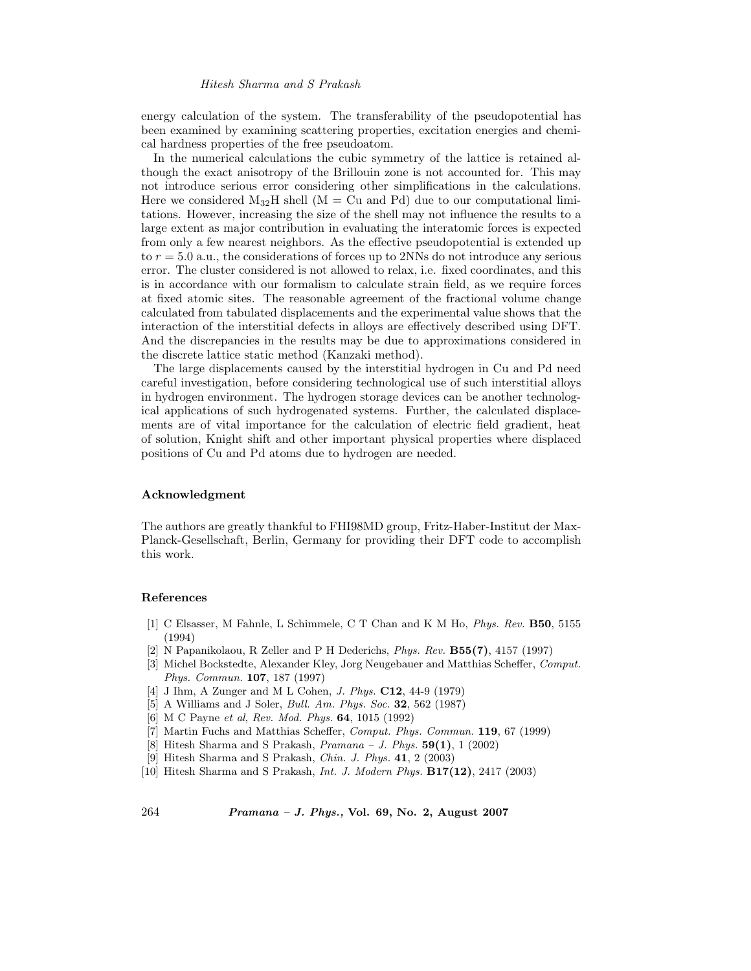energy calculation of the system. The transferability of the pseudopotential has been examined by examining scattering properties, excitation energies and chemical hardness properties of the free pseudoatom.

In the numerical calculations the cubic symmetry of the lattice is retained although the exact anisotropy of the Brillouin zone is not accounted for. This may not introduce serious error considering other simplifications in the calculations. Here we considered  $M_{32}H$  shell (M = Cu and Pd) due to our computational limitations. However, increasing the size of the shell may not influence the results to a large extent as major contribution in evaluating the interatomic forces is expected from only a few nearest neighbors. As the effective pseudopotential is extended up to  $r = 5.0$  a.u., the considerations of forces up to 2NNs do not introduce any serious error. The cluster considered is not allowed to relax, i.e. fixed coordinates, and this is in accordance with our formalism to calculate strain field, as we require forces at fixed atomic sites. The reasonable agreement of the fractional volume change calculated from tabulated displacements and the experimental value shows that the interaction of the interstitial defects in alloys are effectively described using DFT. And the discrepancies in the results may be due to approximations considered in the discrete lattice static method (Kanzaki method).

The large displacements caused by the interstitial hydrogen in Cu and Pd need careful investigation, before considering technological use of such interstitial alloys in hydrogen environment. The hydrogen storage devices can be another technological applications of such hydrogenated systems. Further, the calculated displacements are of vital importance for the calculation of electric field gradient, heat of solution, Knight shift and other important physical properties where displaced positions of Cu and Pd atoms due to hydrogen are needed.

#### **Acknowledgment**

The authors are greatly thankful to FHI98MD group, Fritz-Haber-Institut der Max-Planck-Gesellschaft, Berlin, Germany for providing their DFT code to accomplish this work.

#### **References**

- [1] C Elsasser, M Fahnle, L Schimmele, C T Chan and K M Ho, *Phys. Rev.* **B50**, 5155 (1994)
- [2] N Papanikolaou, R Zeller and P H Dederichs, *Phys. Rev.* **B55(7)**, 4157 (1997)
- [3] Michel Bockstedte, Alexander Kley, Jorg Neugebauer and Matthias Scheffer, *Comput. Phys. Commun.* **107**, 187 (1997)
- [4] J Ihm, A Zunger and M L Cohen, *J. Phys.* **C12**, 44-9 (1979)
- [5] A Williams and J Soler, *Bull. Am. Phys. Soc.* **32**, 562 (1987)
- [6] M C Payne *et al*, *Rev. Mod. Phys.* **64**, 1015 (1992)
- [7] Martin Fuchs and Matthias Scheffer, *Comput. Phys. Commun.* **119**, 67 (1999)
- [8] Hitesh Sharma and S Prakash, *Pramana J. Phys.* **59(1)**, 1 (2002)
- [9] Hitesh Sharma and S Prakash, *Chin. J. Phys.* **41**, 2 (2003)
- [10] Hitesh Sharma and S Prakash, *Int. J. Modern Phys.* **B17(12)**, 2417 (2003)